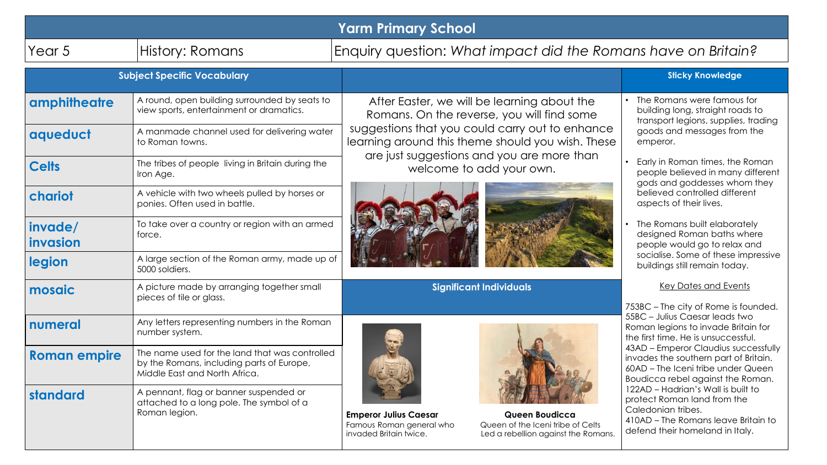| <b>Yarm Primary School</b> |                                                                                                                                          |                                                                                                                                                                                                                                                                             |                                                                                                                                                                                                                                                                                                                                                                                                                                                                                                               |
|----------------------------|------------------------------------------------------------------------------------------------------------------------------------------|-----------------------------------------------------------------------------------------------------------------------------------------------------------------------------------------------------------------------------------------------------------------------------|---------------------------------------------------------------------------------------------------------------------------------------------------------------------------------------------------------------------------------------------------------------------------------------------------------------------------------------------------------------------------------------------------------------------------------------------------------------------------------------------------------------|
| Year <sub>5</sub>          | History: Romans                                                                                                                          | Enquiry question: What impact did the Romans have on Britain?                                                                                                                                                                                                               |                                                                                                                                                                                                                                                                                                                                                                                                                                                                                                               |
|                            | <b>Subject Specific Vocabulary</b>                                                                                                       |                                                                                                                                                                                                                                                                             | <b>Sticky Knowledge</b>                                                                                                                                                                                                                                                                                                                                                                                                                                                                                       |
| amphitheatre<br>aqueduct   | A round, open building surrounded by seats to<br>view sports, entertainment or dramatics.<br>A manmade channel used for delivering water | After Easter, we will be learning about the<br>Romans. On the reverse, you will find some<br>suggestions that you could carry out to enhance<br>learning around this theme should you wish. These<br>are just suggestions and you are more than<br>welcome to add your own. | The Romans were famous for<br>building long, straight roads to<br>transport legions, supplies, trading<br>goods and messages from the<br>emperor.<br>Early in Roman times, the Roman<br>people believed in many different<br>gods and goddesses whom they<br>believed controlled different<br>aspects of their lives.<br>The Romans built elaborately<br>designed Roman baths where<br>people would go to relax and<br>socialise. Some of these impressive<br>buildings still remain today.                   |
| <b>Celts</b>               | to Roman towns.<br>The tribes of people living in Britain during the<br>Iron Age.                                                        |                                                                                                                                                                                                                                                                             |                                                                                                                                                                                                                                                                                                                                                                                                                                                                                                               |
| chariot                    | A vehicle with two wheels pulled by horses or<br>ponies. Often used in battle.                                                           |                                                                                                                                                                                                                                                                             |                                                                                                                                                                                                                                                                                                                                                                                                                                                                                                               |
| invade/<br>invasion        | To take over a country or region with an armed<br>force.                                                                                 |                                                                                                                                                                                                                                                                             |                                                                                                                                                                                                                                                                                                                                                                                                                                                                                                               |
| legion                     | A large section of the Roman army, made up of<br>5000 soldiers.                                                                          |                                                                                                                                                                                                                                                                             |                                                                                                                                                                                                                                                                                                                                                                                                                                                                                                               |
| mosaic                     | A picture made by arranging together small<br>pieces of tile or glass.                                                                   | <b>Significant Individuals</b>                                                                                                                                                                                                                                              | Key Dates and Events<br>753BC – The city of Rome is founded.<br>55BC - Julius Caesar leads two<br>Roman legions to invade Britain for<br>the first time. He is unsuccessful.<br>43AD - Emperor Claudius successfully<br>invades the southern part of Britain.<br>60AD - The Iceni tribe under Queen<br>Boudicca rebel against the Roman.<br>122AD - Hadrian's Wall is built to<br>protect Roman land from the<br>Caledonian tribes.<br>410AD - The Romans leave Britain to<br>defend their homeland in Italy. |
| numeral                    | Any letters representing numbers in the Roman<br>number system.                                                                          |                                                                                                                                                                                                                                                                             |                                                                                                                                                                                                                                                                                                                                                                                                                                                                                                               |
| <b>Roman empire</b>        | The name used for the land that was controlled<br>by the Romans, including parts of Europe,<br>Middle East and North Africa.             |                                                                                                                                                                                                                                                                             |                                                                                                                                                                                                                                                                                                                                                                                                                                                                                                               |
| standard                   | A pennant, flag or banner suspended or<br>attached to a long pole. The symbol of a<br>Roman legion.                                      | Queen Boudicca<br><b>Emperor Julius Caesar</b><br>Queen of the Iceni tribe of Celts<br>Famous Roman general who<br>invaded Britain twice.<br>Led a rebellion against the Romans.                                                                                            |                                                                                                                                                                                                                                                                                                                                                                                                                                                                                                               |